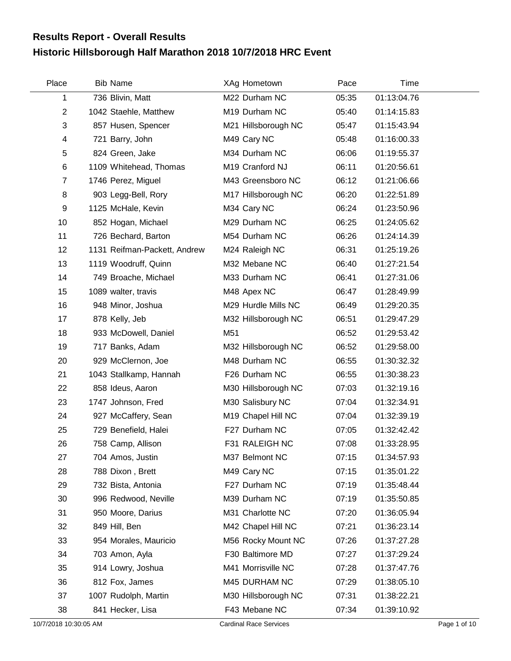## **Historic Hillsborough Half Marathon 2018 10/7/2018 HRC Event Results Report - Overall Results**

| Place                     | <b>Bib Name</b>              | XAg Hometown        | Pace  | Time        |
|---------------------------|------------------------------|---------------------|-------|-------------|
| 1                         | 736 Blivin, Matt             | M22 Durham NC       | 05:35 | 01:13:04.76 |
| $\overline{2}$            | 1042 Staehle, Matthew        | M19 Durham NC       | 05:40 | 01:14:15.83 |
| $\ensuremath{\mathsf{3}}$ | 857 Husen, Spencer           | M21 Hillsborough NC | 05:47 | 01:15:43.94 |
| 4                         | 721 Barry, John              | M49 Cary NC         | 05:48 | 01:16:00.33 |
| 5                         | 824 Green, Jake              | M34 Durham NC       | 06:06 | 01:19:55.37 |
| 6                         | 1109 Whitehead, Thomas       | M19 Cranford NJ     | 06:11 | 01:20:56.61 |
| $\overline{7}$            | 1746 Perez, Miguel           | M43 Greensboro NC   | 06:12 | 01:21:06.66 |
| 8                         | 903 Legg-Bell, Rory          | M17 Hillsborough NC | 06:20 | 01:22:51.89 |
| 9                         | 1125 McHale, Kevin           | M34 Cary NC         | 06:24 | 01:23:50.96 |
| 10                        | 852 Hogan, Michael           | M29 Durham NC       | 06:25 | 01:24:05.62 |
| 11                        | 726 Bechard, Barton          | M54 Durham NC       | 06:26 | 01:24:14.39 |
| 12                        | 1131 Reifman-Packett, Andrew | M24 Raleigh NC      | 06:31 | 01:25:19.26 |
| 13                        | 1119 Woodruff, Quinn         | M32 Mebane NC       | 06:40 | 01:27:21.54 |
| 14                        | 749 Broache, Michael         | M33 Durham NC       | 06:41 | 01:27:31.06 |
| 15                        | 1089 walter, travis          | M48 Apex NC         | 06:47 | 01:28:49.99 |
| 16                        | 948 Minor, Joshua            | M29 Hurdle Mills NC | 06:49 | 01:29:20.35 |
| 17                        | 878 Kelly, Jeb               | M32 Hillsborough NC | 06:51 | 01:29:47.29 |
| 18                        | 933 McDowell, Daniel         | M51                 | 06:52 | 01:29:53.42 |
| 19                        | 717 Banks, Adam              | M32 Hillsborough NC | 06:52 | 01:29:58.00 |
| 20                        | 929 McClernon, Joe           | M48 Durham NC       | 06:55 | 01:30:32.32 |
| 21                        | 1043 Stallkamp, Hannah       | F26 Durham NC       | 06:55 | 01:30:38.23 |
| 22                        | 858 Ideus, Aaron             | M30 Hillsborough NC | 07:03 | 01:32:19.16 |
| 23                        | 1747 Johnson, Fred           | M30 Salisbury NC    | 07:04 | 01:32:34.91 |
| 24                        | 927 McCaffery, Sean          | M19 Chapel Hill NC  | 07:04 | 01:32:39.19 |
| 25                        | 729 Benefield, Halei         | F27 Durham NC       | 07:05 | 01:32:42.42 |
| 26                        | 758 Camp, Allison            | F31 RALEIGH NC      | 07:08 | 01:33:28.95 |
| 27                        | 704 Amos, Justin             | M37 Belmont NC      | 07:15 | 01:34:57.93 |
| 28                        | 788 Dixon, Brett             | M49 Cary NC         | 07:15 | 01:35:01.22 |
| 29                        | 732 Bista, Antonia           | F27 Durham NC       | 07:19 | 01:35:48.44 |
| 30                        | 996 Redwood, Neville         | M39 Durham NC       | 07:19 | 01:35:50.85 |
| 31                        | 950 Moore, Darius            | M31 Charlotte NC    | 07:20 | 01:36:05.94 |
| 32                        | 849 Hill, Ben                | M42 Chapel Hill NC  | 07:21 | 01:36:23.14 |
| 33                        | 954 Morales, Mauricio        | M56 Rocky Mount NC  | 07:26 | 01:37:27.28 |
| 34                        | 703 Amon, Ayla               | F30 Baltimore MD    | 07:27 | 01:37:29.24 |
| 35                        | 914 Lowry, Joshua            | M41 Morrisville NC  | 07:28 | 01:37:47.76 |
| 36                        | 812 Fox, James               | M45 DURHAM NC       | 07:29 | 01:38:05.10 |
| 37                        | 1007 Rudolph, Martin         | M30 Hillsborough NC | 07:31 | 01:38:22.21 |
| 38                        | 841 Hecker, Lisa             | F43 Mebane NC       | 07:34 | 01:39:10.92 |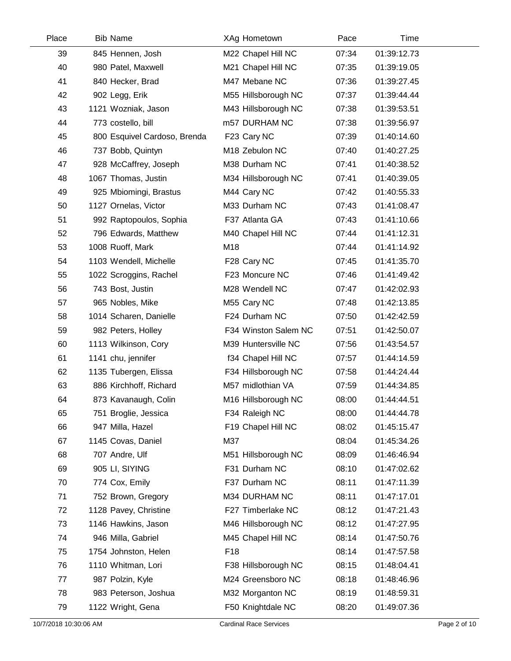| Place | <b>Bib Name</b>              | XAg Hometown         | Pace  | Time        |  |
|-------|------------------------------|----------------------|-------|-------------|--|
| 39    | 845 Hennen, Josh             | M22 Chapel Hill NC   | 07:34 | 01:39:12.73 |  |
| 40    | 980 Patel, Maxwell           | M21 Chapel Hill NC   | 07:35 | 01:39:19.05 |  |
| 41    | 840 Hecker, Brad             | M47 Mebane NC        | 07:36 | 01:39:27.45 |  |
| 42    | 902 Legg, Erik               | M55 Hillsborough NC  | 07:37 | 01:39:44.44 |  |
| 43    | 1121 Wozniak, Jason          | M43 Hillsborough NC  | 07:38 | 01:39:53.51 |  |
| 44    | 773 costello, bill           | m57 DURHAM NC        | 07:38 | 01:39:56.97 |  |
| 45    | 800 Esquivel Cardoso, Brenda | F23 Cary NC          | 07:39 | 01:40:14.60 |  |
| 46    | 737 Bobb, Quintyn            | M18 Zebulon NC       | 07:40 | 01:40:27.25 |  |
| 47    | 928 McCaffrey, Joseph        | M38 Durham NC        | 07:41 | 01:40:38.52 |  |
| 48    | 1067 Thomas, Justin          | M34 Hillsborough NC  | 07:41 | 01:40:39.05 |  |
| 49    | 925 Mbiomingi, Brastus       | M44 Cary NC          | 07:42 | 01:40:55.33 |  |
| 50    | 1127 Ornelas, Victor         | M33 Durham NC        | 07:43 | 01:41:08.47 |  |
| 51    | 992 Raptopoulos, Sophia      | F37 Atlanta GA       | 07:43 | 01:41:10.66 |  |
| 52    | 796 Edwards, Matthew         | M40 Chapel Hill NC   | 07:44 | 01:41:12.31 |  |
| 53    | 1008 Ruoff, Mark             | M18                  | 07:44 | 01:41:14.92 |  |
| 54    | 1103 Wendell, Michelle       | F28 Cary NC          | 07:45 | 01:41:35.70 |  |
| 55    | 1022 Scroggins, Rachel       | F23 Moncure NC       | 07:46 | 01:41:49.42 |  |
| 56    | 743 Bost, Justin             | M28 Wendell NC       | 07:47 | 01:42:02.93 |  |
| 57    | 965 Nobles, Mike             | M55 Cary NC          | 07:48 | 01:42:13.85 |  |
| 58    | 1014 Scharen, Danielle       | F24 Durham NC        | 07:50 | 01:42:42.59 |  |
| 59    | 982 Peters, Holley           | F34 Winston Salem NC | 07:51 | 01:42:50.07 |  |
| 60    | 1113 Wilkinson, Cory         | M39 Huntersville NC  | 07:56 | 01:43:54.57 |  |
| 61    | 1141 chu, jennifer           | f34 Chapel Hill NC   | 07:57 | 01:44:14.59 |  |
| 62    | 1135 Tubergen, Elissa        | F34 Hillsborough NC  | 07:58 | 01:44:24.44 |  |
| 63    | 886 Kirchhoff, Richard       | M57 midlothian VA    | 07:59 | 01:44:34.85 |  |
| 64    | 873 Kavanaugh, Colin         | M16 Hillsborough NC  | 08:00 | 01:44:44.51 |  |
| 65    | 751 Broglie, Jessica         | F34 Raleigh NC       | 08:00 | 01:44:44.78 |  |
| 66    | 947 Milla, Hazel             | F19 Chapel Hill NC   | 08:02 | 01:45:15.47 |  |
| 67    | 1145 Covas, Daniel           | M37                  | 08:04 | 01:45:34.26 |  |
| 68    | 707 Andre, Ulf               | M51 Hillsborough NC  | 08:09 | 01:46:46.94 |  |
| 69    | 905 LI, SIYING               | F31 Durham NC        | 08:10 | 01:47:02.62 |  |
| 70    | 774 Cox, Emily               | F37 Durham NC        | 08:11 | 01:47:11.39 |  |
| 71    | 752 Brown, Gregory           | M34 DURHAM NC        | 08:11 | 01:47:17.01 |  |
| 72    | 1128 Pavey, Christine        | F27 Timberlake NC    | 08:12 | 01:47:21.43 |  |
| 73    | 1146 Hawkins, Jason          | M46 Hillsborough NC  | 08:12 | 01:47:27.95 |  |
| 74    | 946 Milla, Gabriel           | M45 Chapel Hill NC   | 08:14 | 01:47:50.76 |  |
| 75    | 1754 Johnston, Helen         | F <sub>18</sub>      | 08:14 | 01:47:57.58 |  |
| 76    | 1110 Whitman, Lori           | F38 Hillsborough NC  | 08:15 | 01:48:04.41 |  |
| 77    | 987 Polzin, Kyle             | M24 Greensboro NC    | 08:18 | 01:48:46.96 |  |
| 78    | 983 Peterson, Joshua         | M32 Morganton NC     | 08:19 | 01:48:59.31 |  |
| 79    | 1122 Wright, Gena            | F50 Knightdale NC    | 08:20 | 01:49:07.36 |  |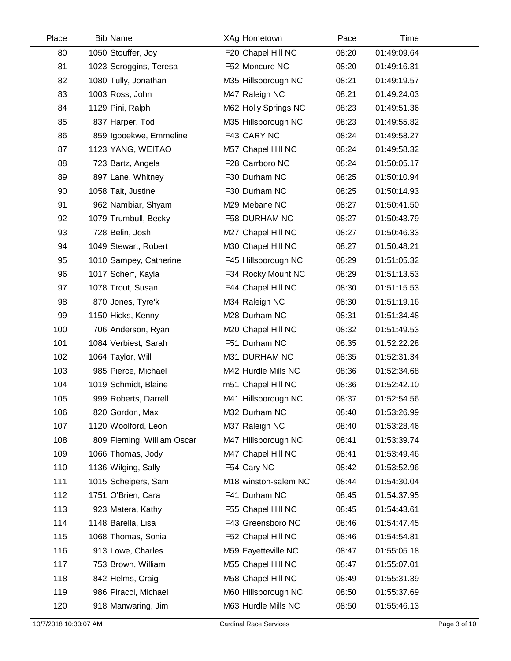| Place | <b>Bib Name</b>            | XAg Hometown         | Pace  | Time        |  |
|-------|----------------------------|----------------------|-------|-------------|--|
| 80    | 1050 Stouffer, Joy         | F20 Chapel Hill NC   | 08:20 | 01:49:09.64 |  |
| 81    | 1023 Scroggins, Teresa     | F52 Moncure NC       | 08:20 | 01:49:16.31 |  |
| 82    | 1080 Tully, Jonathan       | M35 Hillsborough NC  | 08:21 | 01:49:19.57 |  |
| 83    | 1003 Ross, John            | M47 Raleigh NC       | 08:21 | 01:49:24.03 |  |
| 84    | 1129 Pini, Ralph           | M62 Holly Springs NC | 08:23 | 01:49:51.36 |  |
| 85    | 837 Harper, Tod            | M35 Hillsborough NC  | 08:23 | 01:49:55.82 |  |
| 86    | 859 Igboekwe, Emmeline     | F43 CARY NC          | 08:24 | 01:49:58.27 |  |
| 87    | 1123 YANG, WEITAO          | M57 Chapel Hill NC   | 08:24 | 01:49:58.32 |  |
| 88    | 723 Bartz, Angela          | F28 Carrboro NC      | 08:24 | 01:50:05.17 |  |
| 89    | 897 Lane, Whitney          | F30 Durham NC        | 08:25 | 01:50:10.94 |  |
| 90    | 1058 Tait, Justine         | F30 Durham NC        | 08:25 | 01:50:14.93 |  |
| 91    | 962 Nambiar, Shyam         | M29 Mebane NC        | 08:27 | 01:50:41.50 |  |
| 92    | 1079 Trumbull, Becky       | F58 DURHAM NC        | 08:27 | 01:50:43.79 |  |
| 93    | 728 Belin, Josh            | M27 Chapel Hill NC   | 08:27 | 01:50:46.33 |  |
| 94    | 1049 Stewart, Robert       | M30 Chapel Hill NC   | 08:27 | 01:50:48.21 |  |
| 95    | 1010 Sampey, Catherine     | F45 Hillsborough NC  | 08:29 | 01:51:05.32 |  |
| 96    | 1017 Scherf, Kayla         | F34 Rocky Mount NC   | 08:29 | 01:51:13.53 |  |
| 97    | 1078 Trout, Susan          | F44 Chapel Hill NC   | 08:30 | 01:51:15.53 |  |
| 98    | 870 Jones, Tyre'k          | M34 Raleigh NC       | 08:30 | 01:51:19.16 |  |
| 99    | 1150 Hicks, Kenny          | M28 Durham NC        | 08:31 | 01:51:34.48 |  |
| 100   | 706 Anderson, Ryan         | M20 Chapel Hill NC   | 08:32 | 01:51:49.53 |  |
| 101   | 1084 Verbiest, Sarah       | F51 Durham NC        | 08:35 | 01:52:22.28 |  |
| 102   | 1064 Taylor, Will          | M31 DURHAM NC        | 08:35 | 01:52:31.34 |  |
| 103   | 985 Pierce, Michael        | M42 Hurdle Mills NC  | 08:36 | 01:52:34.68 |  |
| 104   | 1019 Schmidt, Blaine       | m51 Chapel Hill NC   | 08:36 | 01:52:42.10 |  |
| 105   | 999 Roberts, Darrell       | M41 Hillsborough NC  | 08:37 | 01:52:54.56 |  |
| 106   | 820 Gordon, Max            | M32 Durham NC        | 08:40 | 01:53:26.99 |  |
| 107   | 1120 Woolford, Leon        | M37 Raleigh NC       | 08:40 | 01:53:28.46 |  |
| 108   | 809 Fleming, William Oscar | M47 Hillsborough NC  | 08:41 | 01:53:39.74 |  |
| 109   | 1066 Thomas, Jody          | M47 Chapel Hill NC   | 08:41 | 01:53:49.46 |  |
| 110   | 1136 Wilging, Sally        | F54 Cary NC          | 08:42 | 01:53:52.96 |  |
| 111   | 1015 Scheipers, Sam        | M18 winston-salem NC | 08:44 | 01:54:30.04 |  |
| 112   | 1751 O'Brien, Cara         | F41 Durham NC        | 08:45 | 01:54:37.95 |  |
| 113   | 923 Matera, Kathy          | F55 Chapel Hill NC   | 08:45 | 01:54:43.61 |  |
| 114   | 1148 Barella, Lisa         | F43 Greensboro NC    | 08:46 | 01:54:47.45 |  |
| 115   | 1068 Thomas, Sonia         | F52 Chapel Hill NC   | 08:46 | 01:54:54.81 |  |
| 116   | 913 Lowe, Charles          | M59 Fayetteville NC  | 08:47 | 01:55:05.18 |  |
| 117   | 753 Brown, William         | M55 Chapel Hill NC   | 08:47 | 01:55:07.01 |  |
| 118   | 842 Helms, Craig           | M58 Chapel Hill NC   | 08:49 | 01:55:31.39 |  |
| 119   | 986 Piracci, Michael       | M60 Hillsborough NC  | 08:50 | 01:55:37.69 |  |
| 120   | 918 Manwaring, Jim         | M63 Hurdle Mills NC  | 08:50 | 01:55:46.13 |  |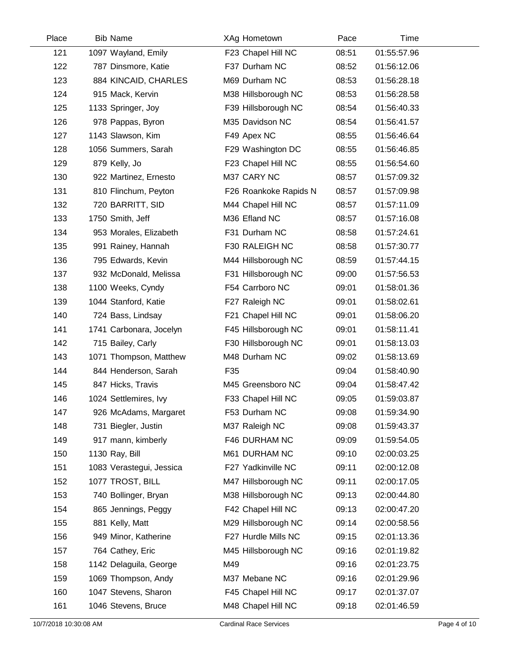| Place | <b>Bib Name</b>          | XAg Hometown          | Pace  | Time        |  |
|-------|--------------------------|-----------------------|-------|-------------|--|
| 121   | 1097 Wayland, Emily      | F23 Chapel Hill NC    | 08:51 | 01:55:57.96 |  |
| 122   | 787 Dinsmore, Katie      | F37 Durham NC         | 08:52 | 01:56:12.06 |  |
| 123   | 884 KINCAID, CHARLES     | M69 Durham NC         | 08:53 | 01:56:28.18 |  |
| 124   | 915 Mack, Kervin         | M38 Hillsborough NC   | 08:53 | 01:56:28.58 |  |
| 125   | 1133 Springer, Joy       | F39 Hillsborough NC   | 08:54 | 01:56:40.33 |  |
| 126   | 978 Pappas, Byron        | M35 Davidson NC       | 08:54 | 01:56:41.57 |  |
| 127   | 1143 Slawson, Kim        | F49 Apex NC           | 08:55 | 01:56:46.64 |  |
| 128   | 1056 Summers, Sarah      | F29 Washington DC     | 08:55 | 01:56:46.85 |  |
| 129   | 879 Kelly, Jo            | F23 Chapel Hill NC    | 08:55 | 01:56:54.60 |  |
| 130   | 922 Martinez, Ernesto    | M37 CARY NC           | 08:57 | 01:57:09.32 |  |
| 131   | 810 Flinchum, Peyton     | F26 Roankoke Rapids N | 08:57 | 01:57:09.98 |  |
| 132   | 720 BARRITT, SID         | M44 Chapel Hill NC    | 08:57 | 01:57:11.09 |  |
| 133   | 1750 Smith, Jeff         | M36 Efland NC         | 08:57 | 01:57:16.08 |  |
| 134   | 953 Morales, Elizabeth   | F31 Durham NC         | 08:58 | 01:57:24.61 |  |
| 135   | 991 Rainey, Hannah       | F30 RALEIGH NC        | 08:58 | 01:57:30.77 |  |
| 136   | 795 Edwards, Kevin       | M44 Hillsborough NC   | 08:59 | 01:57:44.15 |  |
| 137   | 932 McDonald, Melissa    | F31 Hillsborough NC   | 09:00 | 01:57:56.53 |  |
| 138   | 1100 Weeks, Cyndy        | F54 Carrboro NC       | 09:01 | 01:58:01.36 |  |
| 139   | 1044 Stanford, Katie     | F27 Raleigh NC        | 09:01 | 01:58:02.61 |  |
| 140   | 724 Bass, Lindsay        | F21 Chapel Hill NC    | 09:01 | 01:58:06.20 |  |
| 141   | 1741 Carbonara, Jocelyn  | F45 Hillsborough NC   | 09:01 | 01:58:11.41 |  |
| 142   | 715 Bailey, Carly        | F30 Hillsborough NC   | 09:01 | 01:58:13.03 |  |
| 143   | 1071 Thompson, Matthew   | M48 Durham NC         | 09:02 | 01:58:13.69 |  |
| 144   | 844 Henderson, Sarah     | F35                   | 09:04 | 01:58:40.90 |  |
| 145   | 847 Hicks, Travis        | M45 Greensboro NC     | 09:04 | 01:58:47.42 |  |
| 146   | 1024 Settlemires, Ivy    | F33 Chapel Hill NC    | 09:05 | 01:59:03.87 |  |
| 147   | 926 McAdams, Margaret    | F53 Durham NC         | 09:08 | 01:59:34.90 |  |
| 148   | 731 Biegler, Justin      | M37 Raleigh NC        | 09:08 | 01:59:43.37 |  |
| 149   | 917 mann, kimberly       | F46 DURHAM NC         | 09:09 | 01:59:54.05 |  |
| 150   | 1130 Ray, Bill           | M61 DURHAM NC         | 09:10 | 02:00:03.25 |  |
| 151   | 1083 Verastegui, Jessica | F27 Yadkinville NC    | 09:11 | 02:00:12.08 |  |
| 152   | 1077 TROST, BILL         | M47 Hillsborough NC   | 09:11 | 02:00:17.05 |  |
| 153   | 740 Bollinger, Bryan     | M38 Hillsborough NC   | 09:13 | 02:00:44.80 |  |
| 154   | 865 Jennings, Peggy      | F42 Chapel Hill NC    | 09:13 | 02:00:47.20 |  |
| 155   | 881 Kelly, Matt          | M29 Hillsborough NC   | 09:14 | 02:00:58.56 |  |
| 156   | 949 Minor, Katherine     | F27 Hurdle Mills NC   | 09:15 | 02:01:13.36 |  |
| 157   | 764 Cathey, Eric         | M45 Hillsborough NC   | 09:16 | 02:01:19.82 |  |
| 158   | 1142 Delaguila, George   | M49                   | 09:16 | 02:01:23.75 |  |
| 159   | 1069 Thompson, Andy      | M37 Mebane NC         | 09:16 | 02:01:29.96 |  |
| 160   | 1047 Stevens, Sharon     | F45 Chapel Hill NC    | 09:17 | 02:01:37.07 |  |
| 161   | 1046 Stevens, Bruce      | M48 Chapel Hill NC    | 09:18 | 02:01:46.59 |  |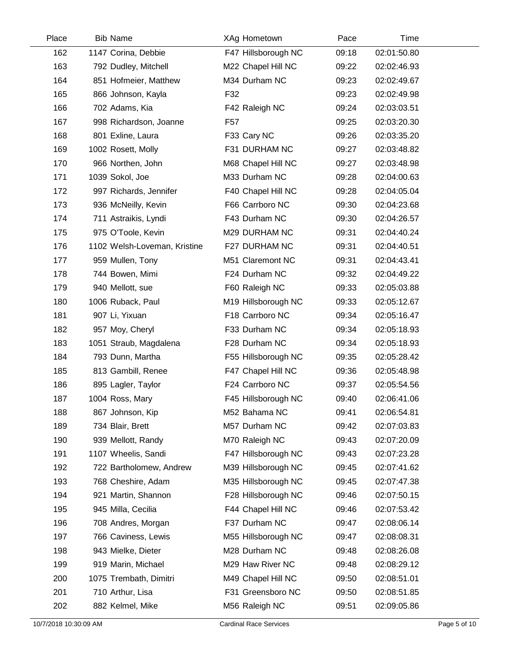| Place | <b>Bib Name</b>              | XAg Hometown        | Pace  | Time        |  |
|-------|------------------------------|---------------------|-------|-------------|--|
| 162   | 1147 Corina, Debbie          | F47 Hillsborough NC | 09:18 | 02:01:50.80 |  |
| 163   | 792 Dudley, Mitchell         | M22 Chapel Hill NC  | 09:22 | 02:02:46.93 |  |
| 164   | 851 Hofmeier, Matthew        | M34 Durham NC       | 09:23 | 02:02:49.67 |  |
| 165   | 866 Johnson, Kayla           | F32                 | 09:23 | 02:02:49.98 |  |
| 166   | 702 Adams, Kia               | F42 Raleigh NC      | 09:24 | 02:03:03.51 |  |
| 167   | 998 Richardson, Joanne       | F <sub>57</sub>     | 09:25 | 02:03:20.30 |  |
| 168   | 801 Exline, Laura            | F33 Cary NC         | 09:26 | 02:03:35.20 |  |
| 169   | 1002 Rosett, Molly           | F31 DURHAM NC       | 09:27 | 02:03:48.82 |  |
| 170   | 966 Northen, John            | M68 Chapel Hill NC  | 09:27 | 02:03:48.98 |  |
| 171   | 1039 Sokol, Joe              | M33 Durham NC       | 09:28 | 02:04:00.63 |  |
| 172   | 997 Richards, Jennifer       | F40 Chapel Hill NC  | 09:28 | 02:04:05.04 |  |
| 173   | 936 McNeilly, Kevin          | F66 Carrboro NC     | 09:30 | 02:04:23.68 |  |
| 174   | 711 Astraikis, Lyndi         | F43 Durham NC       | 09:30 | 02:04:26.57 |  |
| 175   | 975 O'Toole, Kevin           | M29 DURHAM NC       | 09:31 | 02:04:40.24 |  |
| 176   | 1102 Welsh-Loveman, Kristine | F27 DURHAM NC       | 09:31 | 02:04:40.51 |  |
| 177   | 959 Mullen, Tony             | M51 Claremont NC    | 09:31 | 02:04:43.41 |  |
| 178   | 744 Bowen, Mimi              | F24 Durham NC       | 09:32 | 02:04:49.22 |  |
| 179   | 940 Mellott, sue             | F60 Raleigh NC      | 09:33 | 02:05:03.88 |  |
| 180   | 1006 Ruback, Paul            | M19 Hillsborough NC | 09:33 | 02:05:12.67 |  |
| 181   | 907 Li, Yixuan               | F18 Carrboro NC     | 09:34 | 02:05:16.47 |  |
| 182   | 957 Moy, Cheryl              | F33 Durham NC       | 09:34 | 02:05:18.93 |  |
| 183   | 1051 Straub, Magdalena       | F28 Durham NC       | 09:34 | 02:05:18.93 |  |
| 184   | 793 Dunn, Martha             | F55 Hillsborough NC | 09:35 | 02:05:28.42 |  |
| 185   | 813 Gambill, Renee           | F47 Chapel Hill NC  | 09:36 | 02:05:48.98 |  |
| 186   | 895 Lagler, Taylor           | F24 Carrboro NC     | 09:37 | 02:05:54.56 |  |
| 187   | 1004 Ross, Mary              | F45 Hillsborough NC | 09:40 | 02:06:41.06 |  |
| 188   | 867 Johnson, Kip             | M52 Bahama NC       | 09:41 | 02:06:54.81 |  |
| 189   | 734 Blair, Brett             | M57 Durham NC       | 09:42 | 02:07:03.83 |  |
| 190   | 939 Mellott, Randy           | M70 Raleigh NC      | 09:43 | 02:07:20.09 |  |
| 191   | 1107 Wheelis, Sandi          | F47 Hillsborough NC | 09:43 | 02:07:23.28 |  |
| 192   | 722 Bartholomew, Andrew      | M39 Hillsborough NC | 09:45 | 02:07:41.62 |  |
| 193   | 768 Cheshire, Adam           | M35 Hillsborough NC | 09:45 | 02:07:47.38 |  |
| 194   | 921 Martin, Shannon          | F28 Hillsborough NC | 09:46 | 02:07:50.15 |  |
| 195   | 945 Milla, Cecilia           | F44 Chapel Hill NC  | 09:46 | 02:07:53.42 |  |
| 196   | 708 Andres, Morgan           | F37 Durham NC       | 09:47 | 02:08:06.14 |  |
| 197   | 766 Caviness, Lewis          | M55 Hillsborough NC | 09:47 | 02:08:08.31 |  |
| 198   | 943 Mielke, Dieter           | M28 Durham NC       | 09:48 | 02:08:26.08 |  |
| 199   | 919 Marin, Michael           | M29 Haw River NC    | 09:48 | 02:08:29.12 |  |
| 200   | 1075 Trembath, Dimitri       | M49 Chapel Hill NC  | 09:50 | 02:08:51.01 |  |
| 201   | 710 Arthur, Lisa             | F31 Greensboro NC   | 09:50 | 02:08:51.85 |  |
| 202   | 882 Kelmel, Mike             | M56 Raleigh NC      | 09:51 | 02:09:05.86 |  |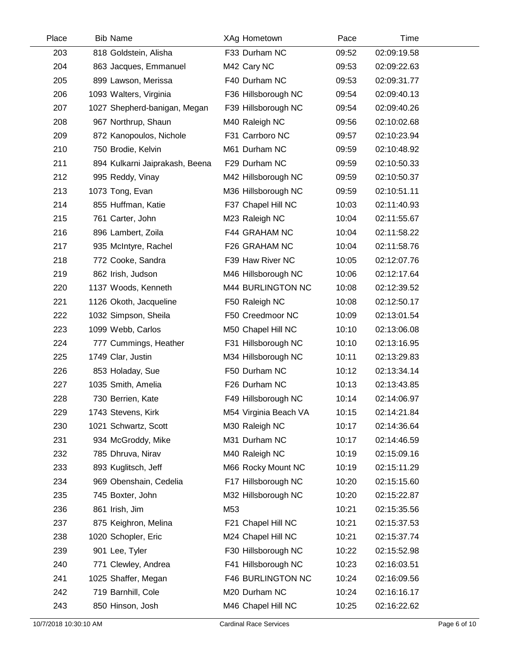| Place | <b>Bib Name</b>                | XAg Hometown          | Pace  | Time        |  |
|-------|--------------------------------|-----------------------|-------|-------------|--|
| 203   | 818 Goldstein, Alisha          | F33 Durham NC         | 09:52 | 02:09:19.58 |  |
| 204   | 863 Jacques, Emmanuel          | M42 Cary NC           | 09:53 | 02:09:22.63 |  |
| 205   | 899 Lawson, Merissa            | F40 Durham NC         | 09:53 | 02:09:31.77 |  |
| 206   | 1093 Walters, Virginia         | F36 Hillsborough NC   | 09:54 | 02:09:40.13 |  |
| 207   | 1027 Shepherd-banigan, Megan   | F39 Hillsborough NC   | 09:54 | 02:09:40.26 |  |
| 208   | 967 Northrup, Shaun            | M40 Raleigh NC        | 09:56 | 02:10:02.68 |  |
| 209   | 872 Kanopoulos, Nichole        | F31 Carrboro NC       | 09:57 | 02:10:23.94 |  |
| 210   | 750 Brodie, Kelvin             | M61 Durham NC         | 09:59 | 02:10:48.92 |  |
| 211   | 894 Kulkarni Jaiprakash, Beena | F29 Durham NC         | 09:59 | 02:10:50.33 |  |
| 212   | 995 Reddy, Vinay               | M42 Hillsborough NC   | 09:59 | 02:10:50.37 |  |
| 213   | 1073 Tong, Evan                | M36 Hillsborough NC   | 09:59 | 02:10:51.11 |  |
| 214   | 855 Huffman, Katie             | F37 Chapel Hill NC    | 10:03 | 02:11:40.93 |  |
| 215   | 761 Carter, John               | M23 Raleigh NC        | 10:04 | 02:11:55.67 |  |
| 216   | 896 Lambert, Zoila             | F44 GRAHAM NC         | 10:04 | 02:11:58.22 |  |
| 217   | 935 McIntyre, Rachel           | F26 GRAHAM NC         | 10:04 | 02:11:58.76 |  |
| 218   | 772 Cooke, Sandra              | F39 Haw River NC      | 10:05 | 02:12:07.76 |  |
| 219   | 862 Irish, Judson              | M46 Hillsborough NC   | 10:06 | 02:12:17.64 |  |
| 220   | 1137 Woods, Kenneth            | M44 BURLINGTON NC     | 10:08 | 02:12:39.52 |  |
| 221   | 1126 Okoth, Jacqueline         | F50 Raleigh NC        | 10:08 | 02:12:50.17 |  |
| 222   | 1032 Simpson, Sheila           | F50 Creedmoor NC      | 10:09 | 02:13:01.54 |  |
| 223   | 1099 Webb, Carlos              | M50 Chapel Hill NC    | 10:10 | 02:13:06.08 |  |
| 224   | 777 Cummings, Heather          | F31 Hillsborough NC   | 10:10 | 02:13:16.95 |  |
| 225   | 1749 Clar, Justin              | M34 Hillsborough NC   | 10:11 | 02:13:29.83 |  |
| 226   | 853 Holaday, Sue               | F50 Durham NC         | 10:12 | 02:13:34.14 |  |
| 227   | 1035 Smith, Amelia             | F26 Durham NC         | 10:13 | 02:13:43.85 |  |
| 228   | 730 Berrien, Kate              | F49 Hillsborough NC   | 10:14 | 02:14:06.97 |  |
| 229   | 1743 Stevens, Kirk             | M54 Virginia Beach VA | 10:15 | 02:14:21.84 |  |
| 230   | 1021 Schwartz, Scott           | M30 Raleigh NC        | 10:17 | 02:14:36.64 |  |
| 231   | 934 McGroddy, Mike             | M31 Durham NC         | 10:17 | 02:14:46.59 |  |
| 232   | 785 Dhruva, Nirav              | M40 Raleigh NC        | 10:19 | 02:15:09.16 |  |
| 233   | 893 Kuglitsch, Jeff            | M66 Rocky Mount NC    | 10:19 | 02:15:11.29 |  |
| 234   | 969 Obenshain, Cedelia         | F17 Hillsborough NC   | 10:20 | 02:15:15.60 |  |
| 235   | 745 Boxter, John               | M32 Hillsborough NC   | 10:20 | 02:15:22.87 |  |
| 236   | 861 Irish, Jim                 | M53                   | 10:21 | 02:15:35.56 |  |
| 237   | 875 Keighron, Melina           | F21 Chapel Hill NC    | 10:21 | 02:15:37.53 |  |
| 238   | 1020 Schopler, Eric            | M24 Chapel Hill NC    | 10:21 | 02:15:37.74 |  |
| 239   | 901 Lee, Tyler                 | F30 Hillsborough NC   | 10:22 | 02:15:52.98 |  |
| 240   | 771 Clewley, Andrea            | F41 Hillsborough NC   | 10:23 | 02:16:03.51 |  |
| 241   | 1025 Shaffer, Megan            | F46 BURLINGTON NC     | 10:24 | 02:16:09.56 |  |
| 242   | 719 Barnhill, Cole             | M20 Durham NC         | 10:24 | 02:16:16.17 |  |
| 243   | 850 Hinson, Josh               | M46 Chapel Hill NC    | 10:25 | 02:16:22.62 |  |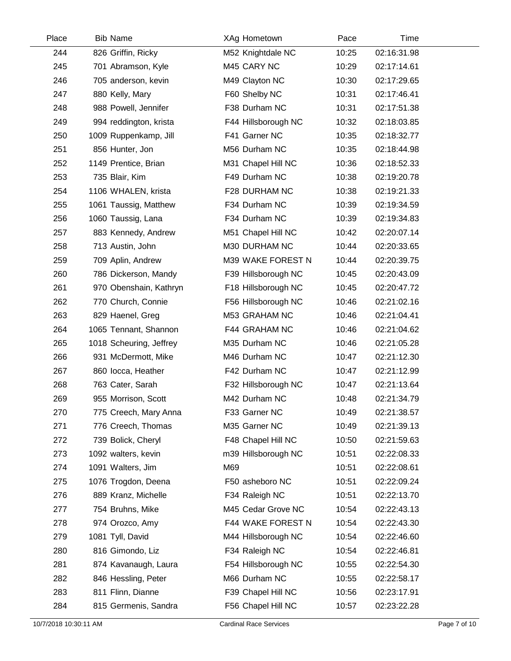| Place | <b>Bib Name</b>         | XAg Hometown        | Pace  | Time        |  |
|-------|-------------------------|---------------------|-------|-------------|--|
| 244   | 826 Griffin, Ricky      | M52 Knightdale NC   | 10:25 | 02:16:31.98 |  |
| 245   | 701 Abramson, Kyle      | M45 CARY NC         | 10:29 | 02:17:14.61 |  |
| 246   | 705 anderson, kevin     | M49 Clayton NC      | 10:30 | 02:17:29.65 |  |
| 247   | 880 Kelly, Mary         | F60 Shelby NC       | 10:31 | 02:17:46.41 |  |
| 248   | 988 Powell, Jennifer    | F38 Durham NC       | 10:31 | 02:17:51.38 |  |
| 249   | 994 reddington, krista  | F44 Hillsborough NC | 10:32 | 02:18:03.85 |  |
| 250   | 1009 Ruppenkamp, Jill   | F41 Garner NC       | 10:35 | 02:18:32.77 |  |
| 251   | 856 Hunter, Jon         | M56 Durham NC       | 10:35 | 02:18:44.98 |  |
| 252   | 1149 Prentice, Brian    | M31 Chapel Hill NC  | 10:36 | 02:18:52.33 |  |
| 253   | 735 Blair, Kim          | F49 Durham NC       | 10:38 | 02:19:20.78 |  |
| 254   | 1106 WHALEN, krista     | F28 DURHAM NC       | 10:38 | 02:19:21.33 |  |
| 255   | 1061 Taussig, Matthew   | F34 Durham NC       | 10:39 | 02:19:34.59 |  |
| 256   | 1060 Taussig, Lana      | F34 Durham NC       | 10:39 | 02:19:34.83 |  |
| 257   | 883 Kennedy, Andrew     | M51 Chapel Hill NC  | 10:42 | 02:20:07.14 |  |
| 258   | 713 Austin, John        | M30 DURHAM NC       | 10:44 | 02:20:33.65 |  |
| 259   | 709 Aplin, Andrew       | M39 WAKE FOREST N   | 10:44 | 02:20:39.75 |  |
| 260   | 786 Dickerson, Mandy    | F39 Hillsborough NC | 10:45 | 02:20:43.09 |  |
| 261   | 970 Obenshain, Kathryn  | F18 Hillsborough NC | 10:45 | 02:20:47.72 |  |
| 262   | 770 Church, Connie      | F56 Hillsborough NC | 10:46 | 02:21:02.16 |  |
| 263   | 829 Haenel, Greg        | M53 GRAHAM NC       | 10:46 | 02:21:04.41 |  |
| 264   | 1065 Tennant, Shannon   | F44 GRAHAM NC       | 10:46 | 02:21:04.62 |  |
| 265   | 1018 Scheuring, Jeffrey | M35 Durham NC       | 10:46 | 02:21:05.28 |  |
| 266   | 931 McDermott, Mike     | M46 Durham NC       | 10:47 | 02:21:12.30 |  |
| 267   | 860 locca, Heather      | F42 Durham NC       | 10:47 | 02:21:12.99 |  |
| 268   | 763 Cater, Sarah        | F32 Hillsborough NC | 10:47 | 02:21:13.64 |  |
| 269   | 955 Morrison, Scott     | M42 Durham NC       | 10:48 | 02:21:34.79 |  |
| 270   | 775 Creech, Mary Anna   | F33 Garner NC       | 10:49 | 02:21:38.57 |  |
| 271   | 776 Creech, Thomas      | M35 Garner NC       | 10:49 | 02:21:39.13 |  |
| 272   | 739 Bolick, Cheryl      | F48 Chapel Hill NC  | 10:50 | 02:21:59.63 |  |
| 273   | 1092 walters, kevin     | m39 Hillsborough NC | 10:51 | 02:22:08.33 |  |
| 274   | 1091 Walters, Jim       | M69                 | 10:51 | 02:22:08.61 |  |
| 275   | 1076 Trogdon, Deena     | F50 asheboro NC     | 10:51 | 02:22:09.24 |  |
| 276   | 889 Kranz, Michelle     | F34 Raleigh NC      | 10:51 | 02:22:13.70 |  |
| 277   | 754 Bruhns, Mike        | M45 Cedar Grove NC  | 10:54 | 02:22:43.13 |  |
| 278   | 974 Orozco, Amy         | F44 WAKE FOREST N   | 10:54 | 02:22:43.30 |  |
| 279   | 1081 Tyll, David        | M44 Hillsborough NC | 10:54 | 02:22:46.60 |  |
| 280   | 816 Gimondo, Liz        | F34 Raleigh NC      | 10:54 | 02:22:46.81 |  |
| 281   | 874 Kavanaugh, Laura    | F54 Hillsborough NC | 10:55 | 02:22:54.30 |  |
| 282   | 846 Hessling, Peter     | M66 Durham NC       | 10:55 | 02:22:58.17 |  |
| 283   | 811 Flinn, Dianne       | F39 Chapel Hill NC  | 10:56 | 02:23:17.91 |  |
| 284   | 815 Germenis, Sandra    | F56 Chapel Hill NC  | 10:57 | 02:23:22.28 |  |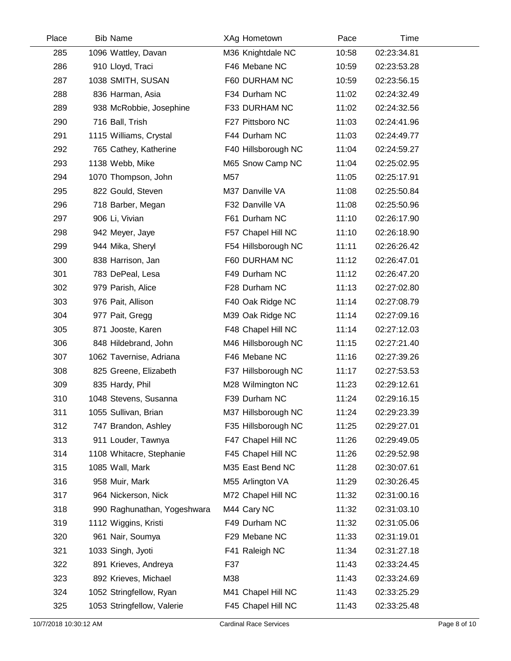| Place | <b>Bib Name</b>             | XAg Hometown        | Pace  | Time        |  |
|-------|-----------------------------|---------------------|-------|-------------|--|
| 285   | 1096 Wattley, Davan         | M36 Knightdale NC   | 10:58 | 02:23:34.81 |  |
| 286   | 910 Lloyd, Traci            | F46 Mebane NC       | 10:59 | 02:23:53.28 |  |
| 287   | 1038 SMITH, SUSAN           | F60 DURHAM NC       | 10:59 | 02:23:56.15 |  |
| 288   | 836 Harman, Asia            | F34 Durham NC       | 11:02 | 02:24:32.49 |  |
| 289   | 938 McRobbie, Josephine     | F33 DURHAM NC       | 11:02 | 02:24:32.56 |  |
| 290   | 716 Ball, Trish             | F27 Pittsboro NC    | 11:03 | 02:24:41.96 |  |
| 291   | 1115 Williams, Crystal      | F44 Durham NC       | 11:03 | 02:24:49.77 |  |
| 292   | 765 Cathey, Katherine       | F40 Hillsborough NC | 11:04 | 02:24:59.27 |  |
| 293   | 1138 Webb, Mike             | M65 Snow Camp NC    | 11:04 | 02:25:02.95 |  |
| 294   | 1070 Thompson, John         | M57                 | 11:05 | 02:25:17.91 |  |
| 295   | 822 Gould, Steven           | M37 Danville VA     | 11:08 | 02:25:50.84 |  |
| 296   | 718 Barber, Megan           | F32 Danville VA     | 11:08 | 02:25:50.96 |  |
| 297   | 906 Li, Vivian              | F61 Durham NC       | 11:10 | 02:26:17.90 |  |
| 298   | 942 Meyer, Jaye             | F57 Chapel Hill NC  | 11:10 | 02:26:18.90 |  |
| 299   | 944 Mika, Sheryl            | F54 Hillsborough NC | 11:11 | 02:26:26.42 |  |
| 300   | 838 Harrison, Jan           | F60 DURHAM NC       | 11:12 | 02:26:47.01 |  |
| 301   | 783 DePeal, Lesa            | F49 Durham NC       | 11:12 | 02:26:47.20 |  |
| 302   | 979 Parish, Alice           | F28 Durham NC       | 11:13 | 02:27:02.80 |  |
| 303   | 976 Pait, Allison           | F40 Oak Ridge NC    | 11:14 | 02:27:08.79 |  |
| 304   | 977 Pait, Gregg             | M39 Oak Ridge NC    | 11:14 | 02:27:09.16 |  |
| 305   | 871 Jooste, Karen           | F48 Chapel Hill NC  | 11:14 | 02:27:12.03 |  |
| 306   | 848 Hildebrand, John        | M46 Hillsborough NC | 11:15 | 02:27:21.40 |  |
| 307   | 1062 Tavernise, Adriana     | F46 Mebane NC       | 11:16 | 02:27:39.26 |  |
| 308   | 825 Greene, Elizabeth       | F37 Hillsborough NC | 11:17 | 02:27:53.53 |  |
| 309   | 835 Hardy, Phil             | M28 Wilmington NC   | 11:23 | 02:29:12.61 |  |
| 310   | 1048 Stevens, Susanna       | F39 Durham NC       | 11:24 | 02:29:16.15 |  |
| 311   | 1055 Sullivan, Brian        | M37 Hillsborough NC | 11:24 | 02:29:23.39 |  |
| 312   | 747 Brandon, Ashley         | F35 Hillsborough NC | 11:25 | 02:29:27.01 |  |
| 313   | 911 Louder, Tawnya          | F47 Chapel Hill NC  | 11:26 | 02:29:49.05 |  |
| 314   | 1108 Whitacre, Stephanie    | F45 Chapel Hill NC  | 11:26 | 02:29:52.98 |  |
| 315   | 1085 Wall, Mark             | M35 East Bend NC    | 11:28 | 02:30:07.61 |  |
| 316   | 958 Muir, Mark              | M55 Arlington VA    | 11:29 | 02:30:26.45 |  |
| 317   | 964 Nickerson, Nick         | M72 Chapel Hill NC  | 11:32 | 02:31:00.16 |  |
| 318   | 990 Raghunathan, Yogeshwara | M44 Cary NC         | 11:32 | 02:31:03.10 |  |
| 319   | 1112 Wiggins, Kristi        | F49 Durham NC       | 11:32 | 02:31:05.06 |  |
| 320   | 961 Nair, Soumya            | F29 Mebane NC       | 11:33 | 02:31:19.01 |  |
| 321   | 1033 Singh, Jyoti           | F41 Raleigh NC      | 11:34 | 02:31:27.18 |  |
| 322   | 891 Krieves, Andreya        | F37                 | 11:43 | 02:33:24.45 |  |
| 323   | 892 Krieves, Michael        | M38                 | 11:43 | 02:33:24.69 |  |
| 324   | 1052 Stringfellow, Ryan     | M41 Chapel Hill NC  | 11:43 | 02:33:25.29 |  |
| 325   | 1053 Stringfellow, Valerie  | F45 Chapel Hill NC  | 11:43 | 02:33:25.48 |  |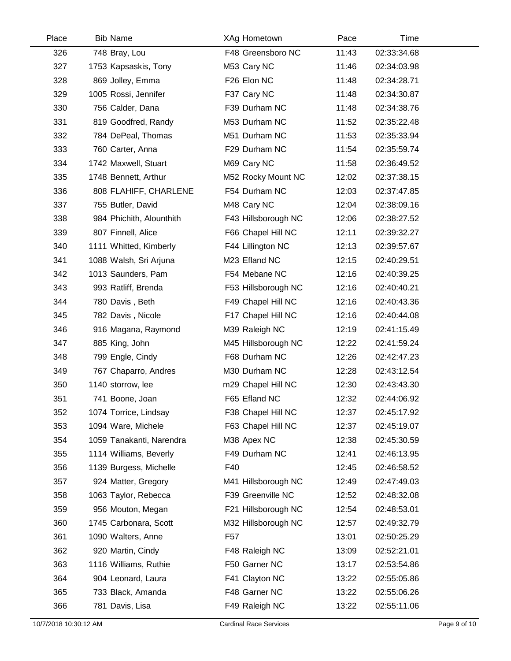| Place | <b>Bib Name</b>          | XAg Hometown        | Pace  | Time        |  |
|-------|--------------------------|---------------------|-------|-------------|--|
| 326   | 748 Bray, Lou            | F48 Greensboro NC   | 11:43 | 02:33:34.68 |  |
| 327   | 1753 Kapsaskis, Tony     | M53 Cary NC         | 11:46 | 02:34:03.98 |  |
| 328   | 869 Jolley, Emma         | F26 Elon NC         | 11:48 | 02:34:28.71 |  |
| 329   | 1005 Rossi, Jennifer     | F37 Cary NC         | 11:48 | 02:34:30.87 |  |
| 330   | 756 Calder, Dana         | F39 Durham NC       | 11:48 | 02:34:38.76 |  |
| 331   | 819 Goodfred, Randy      | M53 Durham NC       | 11:52 | 02:35:22.48 |  |
| 332   | 784 DePeal, Thomas       | M51 Durham NC       | 11:53 | 02:35:33.94 |  |
| 333   | 760 Carter, Anna         | F29 Durham NC       | 11:54 | 02:35:59.74 |  |
| 334   | 1742 Maxwell, Stuart     | M69 Cary NC         | 11:58 | 02:36:49.52 |  |
| 335   | 1748 Bennett, Arthur     | M52 Rocky Mount NC  | 12:02 | 02:37:38.15 |  |
| 336   | 808 FLAHIFF, CHARLENE    | F54 Durham NC       | 12:03 | 02:37:47.85 |  |
| 337   | 755 Butler, David        | M48 Cary NC         | 12:04 | 02:38:09.16 |  |
| 338   | 984 Phichith, Alounthith | F43 Hillsborough NC | 12:06 | 02:38:27.52 |  |
| 339   | 807 Finnell, Alice       | F66 Chapel Hill NC  | 12:11 | 02:39:32.27 |  |
| 340   | 1111 Whitted, Kimberly   | F44 Lillington NC   | 12:13 | 02:39:57.67 |  |
| 341   | 1088 Walsh, Sri Arjuna   | M23 Efland NC       | 12:15 | 02:40:29.51 |  |
| 342   | 1013 Saunders, Pam       | F54 Mebane NC       | 12:16 | 02:40:39.25 |  |
| 343   | 993 Ratliff, Brenda      | F53 Hillsborough NC | 12:16 | 02:40:40.21 |  |
| 344   | 780 Davis, Beth          | F49 Chapel Hill NC  | 12:16 | 02:40:43.36 |  |
| 345   | 782 Davis, Nicole        | F17 Chapel Hill NC  | 12:16 | 02:40:44.08 |  |
| 346   | 916 Magana, Raymond      | M39 Raleigh NC      | 12:19 | 02:41:15.49 |  |
| 347   | 885 King, John           | M45 Hillsborough NC | 12:22 | 02:41:59.24 |  |
| 348   | 799 Engle, Cindy         | F68 Durham NC       | 12:26 | 02:42:47.23 |  |
| 349   | 767 Chaparro, Andres     | M30 Durham NC       | 12:28 | 02:43:12.54 |  |
| 350   | 1140 storrow, lee        | m29 Chapel Hill NC  | 12:30 | 02:43:43.30 |  |
| 351   | 741 Boone, Joan          | F65 Efland NC       | 12:32 | 02:44:06.92 |  |
| 352   | 1074 Torrice, Lindsay    | F38 Chapel Hill NC  | 12:37 | 02:45:17.92 |  |
| 353   | 1094 Ware, Michele       | F63 Chapel Hill NC  | 12:37 | 02:45:19.07 |  |
| 354   | 1059 Tanakanti, Narendra | M38 Apex NC         | 12:38 | 02:45:30.59 |  |
| 355   | 1114 Williams, Beverly   | F49 Durham NC       | 12:41 | 02:46:13.95 |  |
| 356   | 1139 Burgess, Michelle   | F40                 | 12:45 | 02:46:58.52 |  |
| 357   | 924 Matter, Gregory      | M41 Hillsborough NC | 12:49 | 02:47:49.03 |  |
| 358   | 1063 Taylor, Rebecca     | F39 Greenville NC   | 12:52 | 02:48:32.08 |  |
| 359   | 956 Mouton, Megan        | F21 Hillsborough NC | 12:54 | 02:48:53.01 |  |
| 360   | 1745 Carbonara, Scott    | M32 Hillsborough NC | 12:57 | 02:49:32.79 |  |
| 361   | 1090 Walters, Anne       | F57                 | 13:01 | 02:50:25.29 |  |
| 362   | 920 Martin, Cindy        | F48 Raleigh NC      | 13:09 | 02:52:21.01 |  |
| 363   | 1116 Williams, Ruthie    | F50 Garner NC       | 13:17 | 02:53:54.86 |  |
| 364   | 904 Leonard, Laura       | F41 Clayton NC      | 13:22 | 02:55:05.86 |  |
| 365   | 733 Black, Amanda        | F48 Garner NC       | 13:22 | 02:55:06.26 |  |
| 366   | 781 Davis, Lisa          | F49 Raleigh NC      | 13:22 | 02:55:11.06 |  |